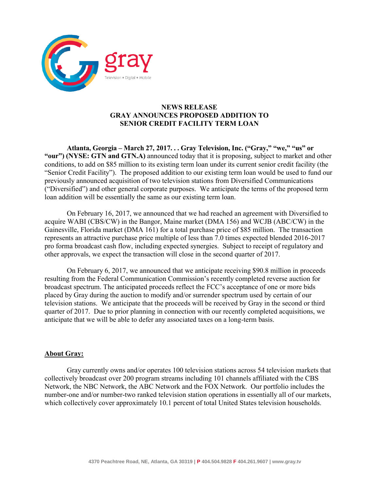

## **NEWS RELEASE GRAY ANNOUNCES PROPOSED ADDITION TO SENIOR CREDIT FACILITY TERM LOAN**

**Atlanta, Georgia – March 27, 2017. . . Gray Television, Inc. ("Gray," "we," "us" or "our") (NYSE: GTN and GTN.A)** announced today that it is proposing, subject to market and other conditions, to add on \$85 million to its existing term loan under its current senior credit facility (the "Senior Credit Facility"). The proposed addition to our existing term loan would be used to fund our previously announced acquisition of two television stations from Diversified Communications ("Diversified") and other general corporate purposes. We anticipate the terms of the proposed term loan addition will be essentially the same as our existing term loan.

On February 16, 2017, we announced that we had reached an agreement with Diversified to acquire WABI (CBS/CW) in the Bangor, Maine market (DMA 156) and WCJB (ABC/CW) in the Gainesville, Florida market (DMA 161) for a total purchase price of \$85 million. The transaction represents an attractive purchase price multiple of less than 7.0 times expected blended 2016-2017 pro forma broadcast cash flow, including expected synergies. Subject to receipt of regulatory and other approvals, we expect the transaction will close in the second quarter of 2017.

On February 6, 2017, we announced that we anticipate receiving \$90.8 million in proceeds resulting from the Federal Communication Commission's recently completed reverse auction for broadcast spectrum. The anticipated proceeds reflect the FCC's acceptance of one or more bids placed by Gray during the auction to modify and/or surrender spectrum used by certain of our television stations. We anticipate that the proceeds will be received by Gray in the second or third quarter of 2017. Due to prior planning in connection with our recently completed acquisitions, we anticipate that we will be able to defer any associated taxes on a long-term basis.

## **About Gray:**

Gray currently owns and/or operates 100 television stations across 54 television markets that collectively broadcast over 200 program streams including 101 channels affiliated with the CBS Network, the NBC Network, the ABC Network and the FOX Network. Our portfolio includes the number-one and/or number-two ranked television station operations in essentially all of our markets, which collectively cover approximately 10.1 percent of total United States television households.